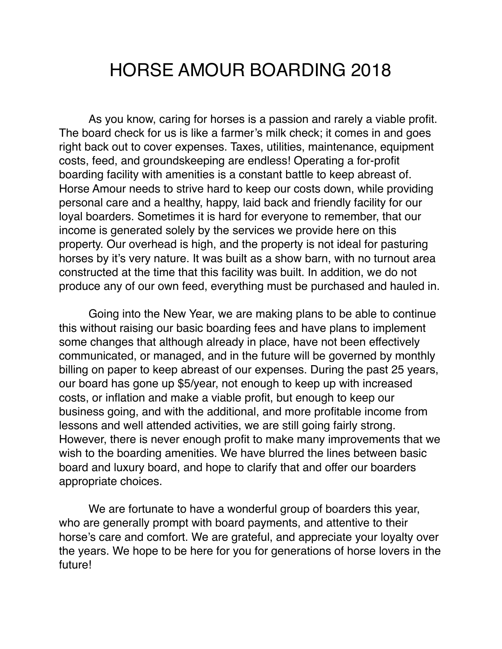## HORSE AMOUR BOARDING 2018

As you know, caring for horses is a passion and rarely a viable profit. The board check for us is like a farmer's milk check; it comes in and goes right back out to cover expenses. Taxes, utilities, maintenance, equipment costs, feed, and groundskeeping are endless! Operating a for-profit boarding facility with amenities is a constant battle to keep abreast of. Horse Amour needs to strive hard to keep our costs down, while providing personal care and a healthy, happy, laid back and friendly facility for our loyal boarders. Sometimes it is hard for everyone to remember, that our income is generated solely by the services we provide here on this property. Our overhead is high, and the property is not ideal for pasturing horses by it's very nature. It was built as a show barn, with no turnout area constructed at the time that this facility was built. In addition, we do not produce any of our own feed, everything must be purchased and hauled in.

Going into the New Year, we are making plans to be able to continue this without raising our basic boarding fees and have plans to implement some changes that although already in place, have not been effectively communicated, or managed, and in the future will be governed by monthly billing on paper to keep abreast of our expenses. During the past 25 years, our board has gone up \$5/year, not enough to keep up with increased costs, or inflation and make a viable profit, but enough to keep our business going, and with the additional, and more profitable income from lessons and well attended activities, we are still going fairly strong. However, there is never enough profit to make many improvements that we wish to the boarding amenities. We have blurred the lines between basic board and luxury board, and hope to clarify that and offer our boarders appropriate choices.

We are fortunate to have a wonderful group of boarders this year, who are generally prompt with board payments, and attentive to their horse's care and comfort. We are grateful, and appreciate your loyalty over the years. We hope to be here for you for generations of horse lovers in the future!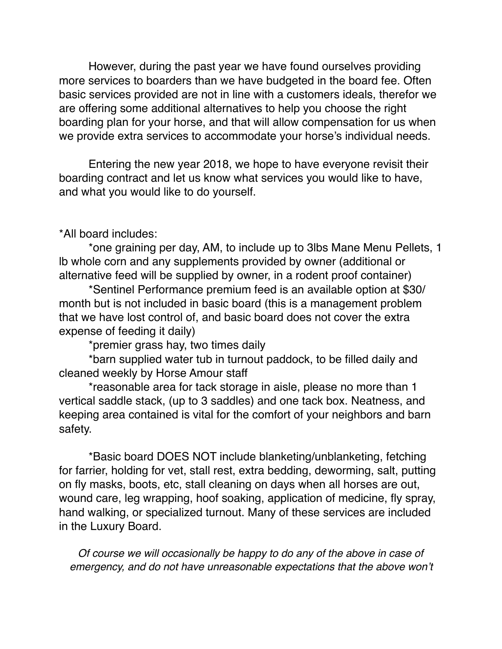However, during the past year we have found ourselves providing more services to boarders than we have budgeted in the board fee. Often basic services provided are not in line with a customers ideals, therefor we are offering some additional alternatives to help you choose the right boarding plan for your horse, and that will allow compensation for us when we provide extra services to accommodate your horse's individual needs.

Entering the new year 2018, we hope to have everyone revisit their boarding contract and let us know what services you would like to have, and what you would like to do yourself.

## \*All board includes:

\*one graining per day, AM, to include up to 3lbs Mane Menu Pellets, 1 lb whole corn and any supplements provided by owner (additional or alternative feed will be supplied by owner, in a rodent proof container)

\*Sentinel Performance premium feed is an available option at \$30/ month but is not included in basic board (this is a management problem that we have lost control of, and basic board does not cover the extra expense of feeding it daily)

\*premier grass hay, two times daily

\*barn supplied water tub in turnout paddock, to be filled daily and cleaned weekly by Horse Amour staff

\*reasonable area for tack storage in aisle, please no more than 1 vertical saddle stack, (up to 3 saddles) and one tack box. Neatness, and keeping area contained is vital for the comfort of your neighbors and barn safety.

\*Basic board DOES NOT include blanketing/unblanketing, fetching for farrier, holding for vet, stall rest, extra bedding, deworming, salt, putting on fly masks, boots, etc, stall cleaning on days when all horses are out, wound care, leg wrapping, hoof soaking, application of medicine, fly spray, hand walking, or specialized turnout. Many of these services are included in the Luxury Board.

*Of course we will occasionally be happy to do any of the above in case of emergency, and do not have unreasonable expectations that the above won't*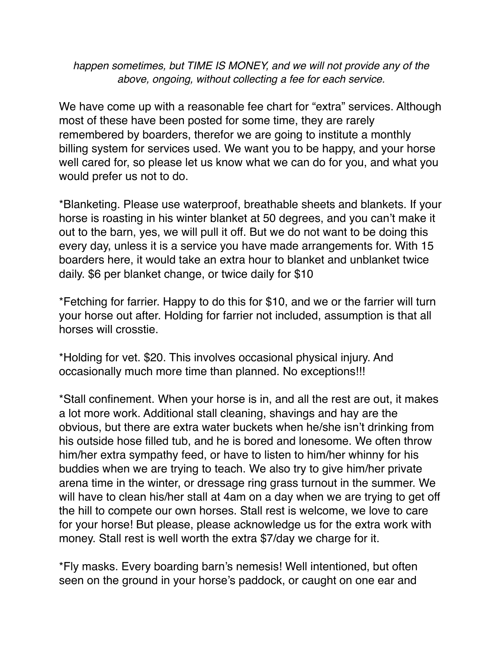*happen sometimes, but TIME IS MONEY, and we will not provide any of the above, ongoing, without collecting a fee for each service.*

We have come up with a reasonable fee chart for "extra" services. Although most of these have been posted for some time, they are rarely remembered by boarders, therefor we are going to institute a monthly billing system for services used. We want you to be happy, and your horse well cared for, so please let us know what we can do for you, and what you would prefer us not to do.

\*Blanketing. Please use waterproof, breathable sheets and blankets. If your horse is roasting in his winter blanket at 50 degrees, and you can't make it out to the barn, yes, we will pull it off. But we do not want to be doing this every day, unless it is a service you have made arrangements for. With 15 boarders here, it would take an extra hour to blanket and unblanket twice daily. \$6 per blanket change, or twice daily for \$10

\*Fetching for farrier. Happy to do this for \$10, and we or the farrier will turn your horse out after. Holding for farrier not included, assumption is that all horses will crosstie.

\*Holding for vet. \$20. This involves occasional physical injury. And occasionally much more time than planned. No exceptions!!!

\*Stall confinement. When your horse is in, and all the rest are out, it makes a lot more work. Additional stall cleaning, shavings and hay are the obvious, but there are extra water buckets when he/she isn't drinking from his outside hose filled tub, and he is bored and lonesome. We often throw him/her extra sympathy feed, or have to listen to him/her whinny for his buddies when we are trying to teach. We also try to give him/her private arena time in the winter, or dressage ring grass turnout in the summer. We will have to clean his/her stall at 4am on a day when we are trying to get off the hill to compete our own horses. Stall rest is welcome, we love to care for your horse! But please, please acknowledge us for the extra work with money. Stall rest is well worth the extra \$7/day we charge for it.

\*Fly masks. Every boarding barn's nemesis! Well intentioned, but often seen on the ground in your horse's paddock, or caught on one ear and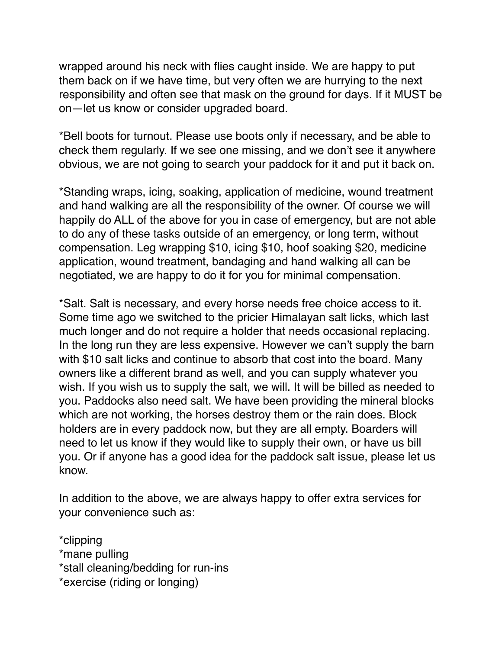wrapped around his neck with flies caught inside. We are happy to put them back on if we have time, but very often we are hurrying to the next responsibility and often see that mask on the ground for days. If it MUST be on—let us know or consider upgraded board.

\*Bell boots for turnout. Please use boots only if necessary, and be able to check them regularly. If we see one missing, and we don't see it anywhere obvious, we are not going to search your paddock for it and put it back on.

\*Standing wraps, icing, soaking, application of medicine, wound treatment and hand walking are all the responsibility of the owner. Of course we will happily do ALL of the above for you in case of emergency, but are not able to do any of these tasks outside of an emergency, or long term, without compensation. Leg wrapping \$10, icing \$10, hoof soaking \$20, medicine application, wound treatment, bandaging and hand walking all can be negotiated, we are happy to do it for you for minimal compensation.

\*Salt. Salt is necessary, and every horse needs free choice access to it. Some time ago we switched to the pricier Himalayan salt licks, which last much longer and do not require a holder that needs occasional replacing. In the long run they are less expensive. However we can't supply the barn with \$10 salt licks and continue to absorb that cost into the board. Many owners like a different brand as well, and you can supply whatever you wish. If you wish us to supply the salt, we will. It will be billed as needed to you. Paddocks also need salt. We have been providing the mineral blocks which are not working, the horses destroy them or the rain does. Block holders are in every paddock now, but they are all empty. Boarders will need to let us know if they would like to supply their own, or have us bill you. Or if anyone has a good idea for the paddock salt issue, please let us know.

In addition to the above, we are always happy to offer extra services for your convenience such as:

\*clipping \*mane pulling \*stall cleaning/bedding for run-ins \*exercise (riding or longing)